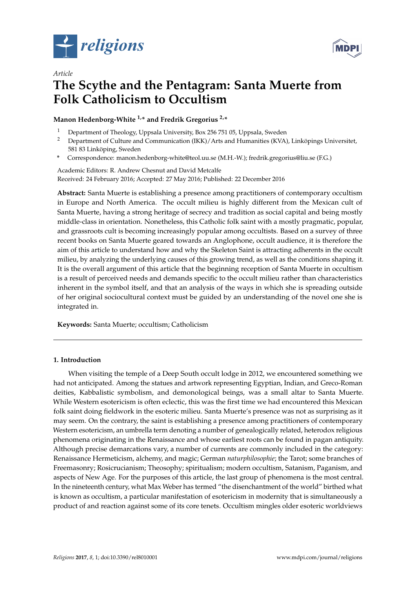

*Article*



# **The Scythe and the Pentagram: Santa Muerte from Folk Catholicism to Occultism**

# **Manon Hedenborg-White 1,\* and Fredrik Gregorius 2,\***

- <sup>1</sup> Department of Theology, Uppsala University, Box 256 751 05, Uppsala, Sweden
- <sup>2</sup> Department of Culture and Communication (IKK)/Arts and Humanities (KVA), Linköpings Universitet, 581 83 Linköping, Sweden
- **\*** Correspondence: manon.hedenborg-white@teol.uu.se (M.H.-W.); fredrik.gregorius@liu.se (F.G.)

Academic Editors: R. Andrew Chesnut and David Metcalfe Received: 24 February 2016; Accepted: 27 May 2016; Published: 22 December 2016

**Abstract:** Santa Muerte is establishing a presence among practitioners of contemporary occultism in Europe and North America. The occult milieu is highly different from the Mexican cult of Santa Muerte, having a strong heritage of secrecy and tradition as social capital and being mostly middle-class in orientation. Nonetheless, this Catholic folk saint with a mostly pragmatic, popular, and grassroots cult is becoming increasingly popular among occultists. Based on a survey of three recent books on Santa Muerte geared towards an Anglophone, occult audience, it is therefore the aim of this article to understand how and why the Skeleton Saint is attracting adherents in the occult milieu, by analyzing the underlying causes of this growing trend, as well as the conditions shaping it. It is the overall argument of this article that the beginning reception of Santa Muerte in occultism is a result of perceived needs and demands specific to the occult milieu rather than characteristics inherent in the symbol itself, and that an analysis of the ways in which she is spreading outside of her original sociocultural context must be guided by an understanding of the novel one she is integrated in.

**Keywords:** Santa Muerte; occultism; Catholicism

## **1. Introduction**

When visiting the temple of a Deep South occult lodge in 2012, we encountered something we had not anticipated. Among the statues and artwork representing Egyptian, Indian, and Greco-Roman deities, Kabbalistic symbolism, and demonological beings, was a small altar to Santa Muerte. While Western esotericism is often eclectic, this was the first time we had encountered this Mexican folk saint doing fieldwork in the esoteric milieu. Santa Muerte's presence was not as surprising as it may seem. On the contrary, the saint is establishing a presence among practitioners of contemporary Western esotericism, an umbrella term denoting a number of genealogically related, heterodox religious phenomena originating in the Renaissance and whose earliest roots can be found in pagan antiquity. Although precise demarcations vary, a number of currents are commonly included in the category: Renaissance Hermeticism, alchemy, and magic; German *naturphilosophie*; the Tarot; some branches of Freemasonry; Rosicrucianism; Theosophy; spiritualism; modern occultism, Satanism, Paganism, and aspects of New Age. For the purposes of this article, the last group of phenomena is the most central. In the nineteenth century, what Max Weber has termed "the disenchantment of the world" birthed what is known as occultism, a particular manifestation of esotericism in modernity that is simultaneously a product of and reaction against some of its core tenets. Occultism mingles older esoteric worldviews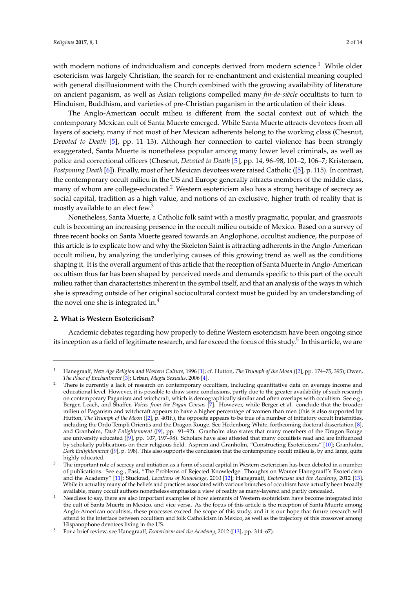with modern notions of individualism and concepts derived from modern science.<sup>1</sup> While older esotericism was largely Christian, the search for re-enchantment and existential meaning coupled with general disillusionment with the Church combined with the growing availability of literature on ancient paganism, as well as Asian religions compelled many *fin-de-siècle* occultists to turn to Hinduism, Buddhism, and varieties of pre-Christian paganism in the articulation of their ideas.

The Anglo-American occult milieu is different from the social context out of which the contemporary Mexican cult of Santa Muerte emerged. While Santa Muerte attracts devotees from all layers of society, many if not most of her Mexican adherents belong to the working class (Chesnut, *Devoted to Death* [\[5\]](#page-12-0), pp. 11–13). Although her connection to cartel violence has been strongly exaggerated, Santa Muerte is nonetheless popular among many lower level criminals, as well as police and correctional officers (Chesnut, *Devoted to Death* [\[5\]](#page-12-0), pp. 14, 96–98, 101–2, 106–7; Kristensen, *Postponing Death* [\[6\]](#page-12-1)). Finally, most of her Mexican devotees were raised Catholic ([\[5\]](#page-12-0), p. 115). In contrast, the contemporary occult milieu in the US and Europe generally attracts members of the middle class, many of whom are college-educated.<sup>2</sup> Western esotericism also has a strong heritage of secrecy as social capital, tradition as a high value, and notions of an exclusive, higher truth of reality that is mostly available to an elect few.<sup>3</sup>

Nonetheless, Santa Muerte, a Catholic folk saint with a mostly pragmatic, popular, and grassroots cult is becoming an increasing presence in the occult milieu outside of Mexico. Based on a survey of three recent books on Santa Muerte geared towards an Anglophone, occultist audience, the purpose of this article is to explicate how and why the Skeleton Saint is attracting adherents in the Anglo-American occult milieu, by analyzing the underlying causes of this growing trend as well as the conditions shaping it. It is the overall argument of this article that the reception of Santa Muerte in Anglo-American occultism thus far has been shaped by perceived needs and demands specific to this part of the occult milieu rather than characteristics inherent in the symbol itself, and that an analysis of the ways in which she is spreading outside of her original sociocultural context must be guided by an understanding of the novel one she is integrated in. $4$ 

## **2. What is Western Esotericism?**

Academic debates regarding how properly to define Western esotericism have been ongoing since its inception as a field of legitimate research, and far exceed the focus of this study. $^5$  In this article, we are

<sup>1</sup> Hanegraaff, *New Age Religion and Western Culture*, 1996 [\[1\]](#page-12-2); cf. Hutton, *The Triumph of the Moon* ([\[2\]](#page-12-3), pp. 174–75, 395); Owen, *The Place of Enchantment* [\[3\]](#page-12-4); Urban, *Magia Sexualis*, 2006 [\[4\]](#page-12-5).

<sup>2</sup> There is currently a lack of research on contemporary occultism, including quantitative data on average income and educational level. However, it is possible to draw some conclusions, partly due to the greater availability of such research on contemporary Paganism and witchcraft, which is demographically similar and often overlaps with occultism. See e.g., Berger, Leach, and Shaffer, *Voices from the Pagan Census* [\[7\]](#page-12-6). However, while Berger et al. conclude that the broader milieu of Paganism and witchcraft appears to have a higher percentage of women than men (this is also supported by Hutton, *The Triumph of the Moon* ([\[2\]](#page-12-3), p. 401f.), the opposite appears to be true of a number of initiatory occult fraternities, including the Ordo Templi Orientis and the Dragon Rouge. See Hedenborg-White, forthcoming doctoral dissertation [\[8\]](#page-12-7), and Granholm, *Dark Enlightenment* ([\[9\]](#page-12-8), pp. 91–92). Granholm also states that many members of the Dragon Rouge are university educated ([\[9\]](#page-12-8), pp. 107, 197–98). Scholars have also attested that many occultists read and are influenced by scholarly publications on their religious field. Asprem and Granholm, "Constructing Esotericisms" [\[10\]](#page-12-9); Granholm, *Dark Enlightenment* ([\[9\]](#page-12-8), p. 198). This also supports the conclusion that the contemporary occult milieu is, by and large, quite highly educated.

<sup>3</sup> The important role of secrecy and initiation as a form of social capital in Western esotericism has been debated in a number of publications. See e.g., Pasi, "The Problems of Rejected Knowledge: Thoughts on Wouter Hanegraaff's Esotericism and the Academy" [\[11\]](#page-12-10); Stuckrad, *Locations of Knowledge*, 2010 [\[12\]](#page-12-11); Hanegraaff, *Esotericism and the Academy*, 2012 [\[13\]](#page-12-12). While in actuality many of the beliefs and practices associated with various branches of occultism have actually been broadly available, many occult authors nonetheless emphasize a view of reality as many-layered and partly concealed.

Needless to say, there are also important examples of how elements of Western esotericism have become integrated into the cult of Santa Muerte in Mexico, and vice versa. As the focus of this article is the reception of Santa Muerte among Anglo-American occultists, these processes exceed the scope of this study, and it is our hope that future research will attend to the interface between occultism and folk Catholicism in Mexico, as well as the trajectory of this crossover among Hispanophone devotees living in the US.

<sup>5</sup> For a brief review, see Hanegraaff, *Esotericism and the Academy*, 2012 ([\[13\]](#page-12-12), pp. 314–67).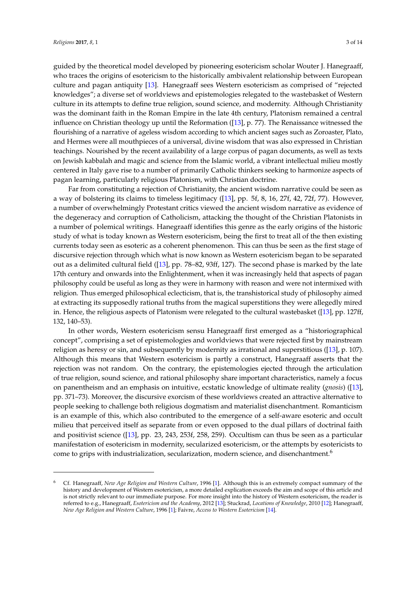guided by the theoretical model developed by pioneering esotericism scholar Wouter J. Hanegraaff, who traces the origins of esotericism to the historically ambivalent relationship between European culture and pagan antiquity [\[13\]](#page-12-12). Hanegraaff sees Western esotericism as comprised of "rejected knowledges"; a diverse set of worldviews and epistemologies relegated to the wastebasket of Western culture in its attempts to define true religion, sound science, and modernity. Although Christianity was the dominant faith in the Roman Empire in the late 4th century, Platonism remained a central influence on Christian theology up until the Reformation ([\[13\]](#page-12-12), p. 77). The Renaissance witnessed the flourishing of a narrative of ageless wisdom according to which ancient sages such as Zoroaster, Plato, and Hermes were all mouthpieces of a universal, divine wisdom that was also expressed in Christian teachings. Nourished by the recent availability of a large corpus of pagan documents, as well as texts on Jewish kabbalah and magic and science from the Islamic world, a vibrant intellectual milieu mostly centered in Italy gave rise to a number of primarily Catholic thinkers seeking to harmonize aspects of pagan learning, particularly religious Platonism, with Christian doctrine.

Far from constituting a rejection of Christianity, the ancient wisdom narrative could be seen as a way of bolstering its claims to timeless legitimacy ([\[13\]](#page-12-12), pp. 5f, 8, 16, 27f, 42, 72f, 77). However, a number of overwhelmingly Protestant critics viewed the ancient wisdom narrative as evidence of the degeneracy and corruption of Catholicism, attacking the thought of the Christian Platonists in a number of polemical writings. Hanegraaff identifies this genre as the early origins of the historic study of what is today known as Western esotericism, being the first to treat all of the then existing currents today seen as esoteric as a coherent phenomenon. This can thus be seen as the first stage of discursive rejection through which what is now known as Western esotericism began to be separated out as a delimited cultural field ([\[13\]](#page-12-12), pp. 78–82, 93ff, 127). The second phase is marked by the late 17th century and onwards into the Enlightenment, when it was increasingly held that aspects of pagan philosophy could be useful as long as they were in harmony with reason and were not intermixed with religion. Thus emerged philosophical eclecticism, that is, the transhistorical study of philosophy aimed at extracting its supposedly rational truths from the magical superstitions they were allegedly mired in. Hence, the religious aspects of Platonism were relegated to the cultural wastebasket ([\[13\]](#page-12-12), pp. 127ff, 132, 140–53).

In other words, Western esotericism sensu Hanegraaff first emerged as a "historiographical concept", comprising a set of epistemologies and worldviews that were rejected first by mainstream religion as heresy or sin, and subsequently by modernity as irrational and superstitious ([\[13\]](#page-12-12), p. 107). Although this means that Western esotericism is partly a construct, Hanegraaff asserts that the rejection was not random. On the contrary, the epistemologies ejected through the articulation of true religion, sound science, and rational philosophy share important characteristics, namely a focus on panentheism and an emphasis on intuitive, ecstatic knowledge of ultimate reality (*gnosis*) ([\[13\]](#page-12-12), pp. 371–73). Moreover, the discursive exorcism of these worldviews created an attractive alternative to people seeking to challenge both religious dogmatism and materialist disenchantment. Romanticism is an example of this, which also contributed to the emergence of a self-aware esoteric and occult milieu that perceived itself as separate from or even opposed to the dual pillars of doctrinal faith and positivist science ([\[13\]](#page-12-12), pp. 23, 243, 253f, 258, 259). Occultism can thus be seen as a particular manifestation of esotericism in modernity, secularized esotericism, or the attempts by esotericists to come to grips with industrialization, secularization, modern science, and disenchantment.<sup>6</sup>

<sup>6</sup> Cf. Hanegraaff, *New Age Religion and Western Culture*, 1996 [\[1\]](#page-12-2). Although this is an extremely compact summary of the history and development of Western esotericism, a more detailed explication exceeds the aim and scope of this article and is not strictly relevant to our immediate purpose. For more insight into the history of Western esotericism, the reader is referred to e.g., Hanegraaff, *Esotericism and the Academy*, 2012 [\[13\]](#page-12-12); Stuckrad, *Locations of Knowledge*, 2010 [\[12\]](#page-12-11); Hanegraaff, *New Age Religion and Western Culture*, 1996 [\[1\]](#page-12-2); Faivre, *Access to Western Esotericism* [\[14\]](#page-12-13).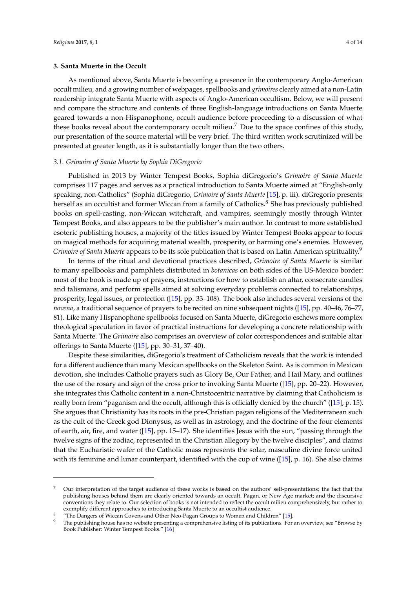#### **3. Santa Muerte in the Occult**

As mentioned above, Santa Muerte is becoming a presence in the contemporary Anglo-American occult milieu, and a growing number of webpages, spellbooks and *grimoires* clearly aimed at a non-Latin readership integrate Santa Muerte with aspects of Anglo-American occultism. Below, we will present and compare the structure and contents of three English-language introductions on Santa Muerte geared towards a non-Hispanophone, occult audience before proceeding to a discussion of what these books reveal about the contemporary occult milieu.<sup>7</sup> Due to the space confines of this study, our presentation of the source material will be very brief. The third written work scrutinized will be presented at greater length, as it is substantially longer than the two others.

#### *3.1. Grimoire of Santa Muerte by Sophia DiGregorio*

Published in 2013 by Winter Tempest Books, Sophia diGregorio's *Grimoire of Santa Muerte* comprises 117 pages and serves as a practical introduction to Santa Muerte aimed at "English-only speaking, non-Catholics" (Sophia diGregorio, *Grimoire of Santa Muerte* [\[15\]](#page-12-14), p. iii). diGregorio presents herself as an occultist and former Wiccan from a family of Catholics.<sup>8</sup> She has previously published books on spell-casting, non-Wiccan witchcraft, and vampires, seemingly mostly through Winter Tempest Books, and also appears to be the publisher's main author. In contrast to more established esoteric publishing houses, a majority of the titles issued by Winter Tempest Books appear to focus on magical methods for acquiring material wealth, prosperity, or harming one's enemies. However, *Grimoire of Santa Muerte* appears to be its sole publication that is based on Latin American spirituality.<sup>9</sup>

In terms of the ritual and devotional practices described, *Grimoire of Santa Muerte* is similar to many spellbooks and pamphlets distributed in *botanicas* on both sides of the US-Mexico border: most of the book is made up of prayers, instructions for how to establish an altar, consecrate candles and talismans, and perform spells aimed at solving everyday problems connected to relationships, prosperity, legal issues, or protection ([\[15\]](#page-12-14), pp. 33–108). The book also includes several versions of the *novena*, a traditional sequence of prayers to be recited on nine subsequent nights ([\[15\]](#page-12-14), pp. 40–46, 76–77, 81). Like many Hispanophone spellbooks focused on Santa Muerte, diGregorio eschews more complex theological speculation in favor of practical instructions for developing a concrete relationship with Santa Muerte. The *Grimoire* also comprises an overview of color correspondences and suitable altar offerings to Santa Muerte ([\[15\]](#page-12-14), pp. 30–31, 37–40).

Despite these similarities, diGregorio's treatment of Catholicism reveals that the work is intended for a different audience than many Mexican spellbooks on the Skeleton Saint. As is common in Mexican devotion, she includes Catholic prayers such as Glory Be, Our Father, and Hail Mary, and outlines the use of the rosary and sign of the cross prior to invoking Santa Muerte ([\[15\]](#page-12-14), pp. 20–22). However, she integrates this Catholic content in a non-Christocentric narrative by claiming that Catholicism is really born from "paganism and the occult, although this is officially denied by the church" ([\[15\]](#page-12-14), p. 15). She argues that Christianity has its roots in the pre-Christian pagan religions of the Mediterranean such as the cult of the Greek god Dionysus, as well as in astrology, and the doctrine of the four elements of earth, air, fire, and water ([\[15\]](#page-12-14), pp. 15–17). She identifies Jesus with the sun, "passing through the twelve signs of the zodiac, represented in the Christian allegory by the twelve disciples", and claims that the Eucharistic wafer of the Catholic mass represents the solar, masculine divine force united with its feminine and lunar counterpart, identified with the cup of wine ([\[15\]](#page-12-14), p. 16). She also claims

<sup>7</sup> Our interpretation of the target audience of these works is based on the authors' self-presentations; the fact that the publishing houses behind them are clearly oriented towards an occult, Pagan, or New Age market; and the discursive conventions they relate to. Our selection of books is not intended to reflect the occult milieu comprehensively, but rather to exemplify different approaches to introducing Santa Muerte to an occultist audience.

<sup>&</sup>quot;The Dangers of Wiccan Covens and Other Neo-Pagan Groups to Women and Children" [\[15\]](#page-12-14).

The publishing house has no website presenting a comprehensive listing of its publications. For an overview, see "Browse by Book Publisher: Winter Tempest Books." [\[16\]](#page-12-15)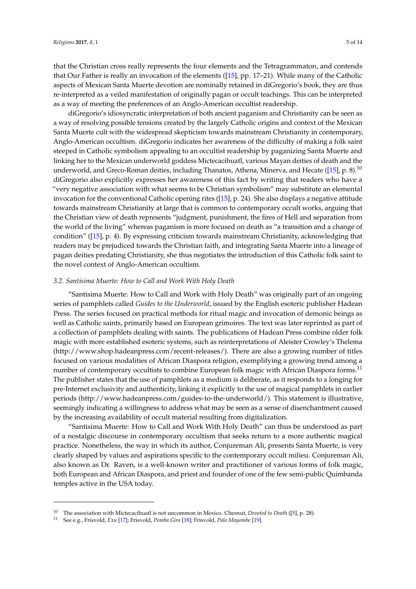that the Christian cross really represents the four elements and the Tetragrammaton, and contends that Our Father is really an invocation of the elements ([\[15\]](#page-12-14), pp. 17–21). While many of the Catholic aspects of Mexican Santa Muerte devotion are nominally retained in diGregorio's book, they are thus re-interpreted as a veiled manifestation of originally pagan or occult teachings. This can be interpreted as a way of meeting the preferences of an Anglo-American occultist readership.

diGregorio's idiosyncratic interpretation of both ancient paganism and Christianity can be seen as a way of resolving possible tensions created by the largely Catholic origins and context of the Mexican Santa Muerte cult with the widespread skepticism towards mainstream Christianity in contemporary, Anglo-American occultism. diGregorio indicates her awareness of the difficulty of making a folk saint steeped in Catholic symbolism appealing to an occultist readership by paganizing Santa Muerte and linking her to the Mexican underworld goddess Mictecacihuatl, various Mayan deities of death and the underworld, and Greco-Roman deities, including Thanatos, Athena, Minerva, and Hecate ([\[15\]](#page-12-14), p. 8).<sup>10</sup> diGregorio also explicitly expresses her awareness of this fact by writing that readers who have a "very negative association with what seems to be Christian symbolism" may substitute an elemental invocation for the conventional Catholic opening rites ([\[15\]](#page-12-14), p. 24). She also displays a negative attitude towards mainstream Christianity at large that is common to contemporary occult works, arguing that the Christian view of death represents "judgment, punishment, the fires of Hell and separation from the world of the living" whereas paganism is more focused on death as "a transition and a change of condition" ([\[15\]](#page-12-14), p. 4). By expressing criticism towards mainstream Christianity, acknowledging that readers may be prejudiced towards the Christian faith, and integrating Santa Muerte into a lineage of pagan deities predating Christianity, she thus negotiates the introduction of this Catholic folk saint to the novel context of Anglo-American occultism.

#### *3.2. Santisima Muerte: How to Call and Work With Holy Death*

"Santisima Muerte: How to Call and Work with Holy Death" was originally part of an ongoing series of pamphlets called *Guides to the Underworld*, issued by the English esoteric publisher Hadean Press. The series focused on practical methods for ritual magic and invocation of demonic beings as well as Catholic saints, primarily based on European grimoires. The text was later reprinted as part of a collection of pamphlets dealing with saints. The publications of Hadean Press combine older folk magic with more established esoteric systems, such as reinterpretations of Aleister Crowley's Thelema [\(http://www.shop.hadeanpress.com/recent-releases/\)](http://www.shop.hadeanpress.com/recent-releases/). There are also a growing number of titles focused on various modalities of African Diaspora religion, exemplifying a growing trend among a number of contemporary occultists to combine European folk magic with African Diaspora forms.<sup>11</sup> The publisher states that the use of pamphlets as a medium is deliberate, as it responds to a longing for pre-Internet exclusivity and authenticity, linking it explicitly to the use of magical pamphlets in earlier periods [\(http://www.hadeanpress.com/guides-to-the-underworld/\)](http://www.hadeanpress.com/guides-to-the-underworld/). This statement is illustrative, seemingly indicating a willingness to address what may be seen as a sense of disenchantment caused by the increasing availability of occult material resulting from digitalization.

"Santisima Muerte: How to Call and Work With Holy Death" can thus be understood as part of a nostalgic discourse in contemporary occultism that seeks return to a more authentic magical practice. Nonetheless, the way in which its author, Conjureman Ali, presents Santa Muerte, is very clearly shaped by values and aspirations specific to the contemporary occult milieu. Conjureman Ali, also known as Dr. Raven, is a well-known writer and practitioner of various forms of folk magic, both European and African Diaspora, and priest and founder of one of the few semi-public Quimbanda temples active in the USA today.

<sup>10</sup> The association with Mictecacihuatl is not uncommon in Mexico. Chesnut, *Devoted to Death* ([\[5\]](#page-12-0), p. 28).

<sup>11</sup> See e.g., Frisvold, *Exu* [\[17\]](#page-12-16); Frisvold, *Pomba Gira* [\[18\]](#page-12-17); Frisvold, *Palo Mayombe* [\[19\]](#page-12-18).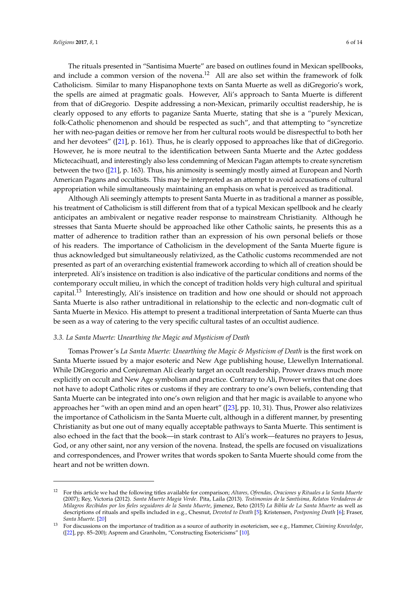The rituals presented in "Santisima Muerte" are based on outlines found in Mexican spellbooks, and include a common version of the novena.<sup>12</sup> All are also set within the framework of folk Catholicism. Similar to many Hispanophone texts on Santa Muerte as well as diGregorio's work, the spells are aimed at pragmatic goals. However, Ali's approach to Santa Muerte is different from that of diGregorio. Despite addressing a non-Mexican, primarily occultist readership, he is clearly opposed to any efforts to paganize Santa Muerte, stating that she is a "purely Mexican, folk-Catholic phenomenon and should be respected as such", and that attempting to "syncretize her with neo-pagan deities or remove her from her cultural roots would be disrespectful to both her and her devotees" ([\[21\]](#page-12-19), p. 161). Thus, he is clearly opposed to approaches like that of diGregorio. However, he is more neutral to the identification between Santa Muerte and the Aztec goddess Mictecacihuatl, and interestingly also less condemning of Mexican Pagan attempts to create syncretism between the two ([\[21\]](#page-12-19), p. 163). Thus, his animosity is seemingly mostly aimed at European and North American Pagans and occultists. This may be interpreted as an attempt to avoid accusations of cultural appropriation while simultaneously maintaining an emphasis on what is perceived as traditional.

Although Ali seemingly attempts to present Santa Muerte in as traditional a manner as possible, his treatment of Catholicism is still different from that of a typical Mexican spellbook and he clearly anticipates an ambivalent or negative reader response to mainstream Christianity. Although he stresses that Santa Muerte should be approached like other Catholic saints, he presents this as a matter of adherence to tradition rather than an expression of his own personal beliefs or those of his readers. The importance of Catholicism in the development of the Santa Muerte figure is thus acknowledged but simultaneously relativized, as the Catholic customs recommended are not presented as part of an overarching existential framework according to which all of creation should be interpreted. Ali's insistence on tradition is also indicative of the particular conditions and norms of the contemporary occult milieu, in which the concept of tradition holds very high cultural and spiritual capital.<sup>13</sup> Interestingly, Ali's insistence on tradition and how one should or should not approach Santa Muerte is also rather untraditional in relationship to the eclectic and non-dogmatic cult of Santa Muerte in Mexico. His attempt to present a traditional interpretation of Santa Muerte can thus be seen as a way of catering to the very specific cultural tastes of an occultist audience.

#### *3.3. La Santa Muerte: Unearthing the Magic and Mysticism of Death*

Tomas Prower's *La Santa Muerte: Unearthing the Magic & Mysticism of Death* is the first work on Santa Muerte issued by a major esoteric and New Age publishing house, Llewellyn International. While DiGregorio and Conjureman Ali clearly target an occult readership, Prower draws much more explicitly on occult and New Age symbolism and practice. Contrary to Ali, Prower writes that one does not have to adopt Catholic rites or customs if they are contrary to one's own beliefs, contending that Santa Muerte can be integrated into one's own religion and that her magic is available to anyone who approaches her "with an open mind and an open heart" ([\[23\]](#page-12-20), pp. 10, 31). Thus, Prower also relativizes the importance of Catholicism in the Santa Muerte cult, although in a different manner, by presenting Christianity as but one out of many equally acceptable pathways to Santa Muerte. This sentiment is also echoed in the fact that the book—in stark contrast to Ali's work—features no prayers to Jesus, God, or any other saint, nor any version of the novena. Instead, the spells are focused on visualizations and correspondences, and Prower writes that words spoken to Santa Muerte should come from the heart and not be written down.

<sup>12</sup> For this article we had the following titles available for comparison; *Altares, Ofrendas, Oraciones y Rituales a la Santa Muerte* (2007); Rey, Victoria (2012). *Santa Muerte Magia Verde*. Pita, Laila (2013). *Testimonios de la Santísima, Relatos Verdaderos de Milagros Recibidos por los fieles seguidores de la Santa Muerte*, jimenez, Beto (2015) *La Biblia de La Santa Muerte* as well as descriptions of rituals and spells included in e.g., Chesnut, *Devoted to Death* [\[5\]](#page-12-0); Kristensen, *Postponing Death* [\[6\]](#page-12-1); Fraser, *Santa Muerte*. [\[20\]](#page-12-21)

<sup>13</sup> For discussions on the importance of tradition as a source of authority in esotericism, see e.g., Hammer, *Claiming Knowledge*, ([\[22\]](#page-12-22), pp. 85–200); Asprem and Granholm, "Constructing Esotericisms" [\[10\]](#page-12-9).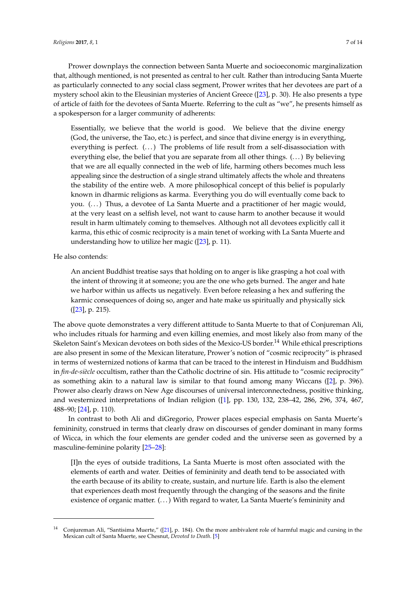Prower downplays the connection between Santa Muerte and socioeconomic marginalization that, although mentioned, is not presented as central to her cult. Rather than introducing Santa Muerte as particularly connected to any social class segment, Prower writes that her devotees are part of a mystery school akin to the Eleusinian mysteries of Ancient Greece ([\[23\]](#page-12-20), p. 30). He also presents a type of article of faith for the devotees of Santa Muerte. Referring to the cult as "we", he presents himself as a spokesperson for a larger community of adherents:

Essentially, we believe that the world is good. We believe that the divine energy (God, the universe, the Tao, etc.) is perfect, and since that divine energy is in everything, everything is perfect. (...) The problems of life result from a self-disassociation with everything else, the belief that you are separate from all other things. (. . . ) By believing that we are all equally connected in the web of life, harming others becomes much less appealing since the destruction of a single strand ultimately affects the whole and threatens the stability of the entire web. A more philosophical concept of this belief is popularly known in dharmic religions as karma. Everything you do will eventually come back to you. (...) Thus, a devotee of La Santa Muerte and a practitioner of her magic would, at the very least on a selfish level, not want to cause harm to another because it would result in harm ultimately coming to themselves. Although not all devotees explicitly call it karma, this ethic of cosmic reciprocity is a main tenet of working with La Santa Muerte and understanding how to utilize her magic ([\[23\]](#page-12-20), p. 11).

He also contends:

An ancient Buddhist treatise says that holding on to anger is like grasping a hot coal with the intent of throwing it at someone; you are the one who gets burned. The anger and hate we harbor within us affects us negatively. Even before releasing a hex and suffering the karmic consequences of doing so, anger and hate make us spiritually and physically sick ([\[23\]](#page-12-20), p. 215).

The above quote demonstrates a very different attitude to Santa Muerte to that of Conjureman Ali, who includes rituals for harming and even killing enemies, and most likely also from many of the Skeleton Saint's Mexican devotees on both sides of the Mexico-US border.<sup>14</sup> While ethical prescriptions are also present in some of the Mexican literature, Prower's notion of "cosmic reciprocity" is phrased in terms of westernized notions of karma that can be traced to the interest in Hinduism and Buddhism in *fin-de-siècle* occultism, rather than the Catholic doctrine of sin. His attitude to "cosmic reciprocity" as something akin to a natural law is similar to that found among many Wiccans ([\[2\]](#page-12-3), p. 396). Prower also clearly draws on New Age discourses of universal interconnectedness, positive thinking, and westernized interpretations of Indian religion ([\[1\]](#page-12-2), pp. 130, 132, 238–42, 286, 296, 374, 467, 488–90; [\[24\]](#page-12-23), p. 110).

In contrast to both Ali and diGregorio, Prower places especial emphasis on Santa Muerte's femininity, construed in terms that clearly draw on discourses of gender dominant in many forms of Wicca, in which the four elements are gender coded and the universe seen as governed by a masculine-feminine polarity [\[25–](#page-12-24)[28\]](#page-12-25):

[I]n the eyes of outside traditions, La Santa Muerte is most often associated with the elements of earth and water. Deities of femininity and death tend to be associated with the earth because of its ability to create, sustain, and nurture life. Earth is also the element that experiences death most frequently through the changing of the seasons and the finite existence of organic matter.  $(...)$  With regard to water, La Santa Muerte's femininity and

<sup>&</sup>lt;sup>14</sup> Conjureman Ali, "Santisima Muerte," ([\[21\]](#page-12-19), p. 184). On the more ambivalent role of harmful magic and cursing in the Mexican cult of Santa Muerte, see Chesnut, *Devoted to Death*. [\[5\]](#page-12-0)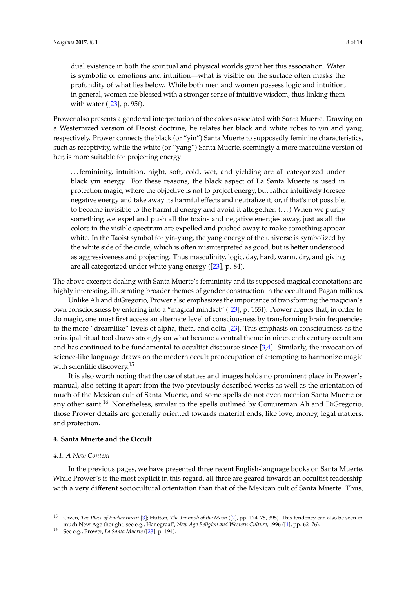dual existence in both the spiritual and physical worlds grant her this association. Water is symbolic of emotions and intuition—what is visible on the surface often masks the profundity of what lies below. While both men and women possess logic and intuition, in general, women are blessed with a stronger sense of intuitive wisdom, thus linking them with water  $([23], p. 95f)$  $([23], p. 95f)$  $([23], p. 95f)$ .

Prower also presents a gendered interpretation of the colors associated with Santa Muerte. Drawing on a Westernized version of Daoist doctrine, he relates her black and white robes to yin and yang, respectively. Prower connects the black (or "yin") Santa Muerte to supposedly feminine characteristics, such as receptivity, while the white (or "yang") Santa Muerte, seemingly a more masculine version of her, is more suitable for projecting energy:

. . . femininity, intuition, night, soft, cold, wet, and yielding are all categorized under black yin energy. For these reasons, the black aspect of La Santa Muerte is used in protection magic, where the objective is not to project energy, but rather intuitively foresee negative energy and take away its harmful effects and neutralize it, or, if that's not possible, to become invisible to the harmful energy and avoid it altogether. (. . . ) When we purify something we expel and push all the toxins and negative energies away, just as all the colors in the visible spectrum are expelled and pushed away to make something appear white. In the Taoist symbol for yin-yang, the yang energy of the universe is symbolized by the white side of the circle, which is often misinterpreted as good, but is better understood as aggressiveness and projecting. Thus masculinity, logic, day, hard, warm, dry, and giving are all categorized under white yang energy ([\[23\]](#page-12-20), p. 84).

The above excerpts dealing with Santa Muerte's femininity and its supposed magical connotations are highly interesting, illustrating broader themes of gender construction in the occult and Pagan milieus.

Unlike Ali and diGregorio, Prower also emphasizes the importance of transforming the magician's own consciousness by entering into a "magical mindset" ([\[23\]](#page-12-20), p. 155f). Prower argues that, in order to do magic, one must first access an alternate level of consciousness by transforming brain frequencies to the more "dreamlike" levels of alpha, theta, and delta [\[23\]](#page-12-20). This emphasis on consciousness as the principal ritual tool draws strongly on what became a central theme in nineteenth century occultism and has continued to be fundamental to occultist discourse since [\[3](#page-12-4)[,4\]](#page-12-5). Similarly, the invocation of science-like language draws on the modern occult preoccupation of attempting to harmonize magic with scientific discovery.<sup>15</sup>

It is also worth noting that the use of statues and images holds no prominent place in Prower's manual, also setting it apart from the two previously described works as well as the orientation of much of the Mexican cult of Santa Muerte, and some spells do not even mention Santa Muerte or any other saint.<sup>16</sup> Nonetheless, similar to the spells outlined by Conjureman Ali and DiGregorio, those Prower details are generally oriented towards material ends, like love, money, legal matters, and protection.

#### **4. Santa Muerte and the Occult**

## *4.1. A New Context*

In the previous pages, we have presented three recent English-language books on Santa Muerte. While Prower's is the most explicit in this regard, all three are geared towards an occultist readership with a very different sociocultural orientation than that of the Mexican cult of Santa Muerte. Thus,

<sup>15</sup> Owen, *The Place of Enchantment* [\[3\]](#page-12-4); Hutton, *The Triumph of the Moon* ([\[2\]](#page-12-3), pp. 174–75, 395). This tendency can also be seen in much New Age thought, see e.g., Hanegraaff, *New Age Religion and Western Culture*, 1996 ([\[1\]](#page-12-2), pp. 62–76).

See e.g., Prower, *La Santa Muerte* ([\[23\]](#page-12-20), p. 194).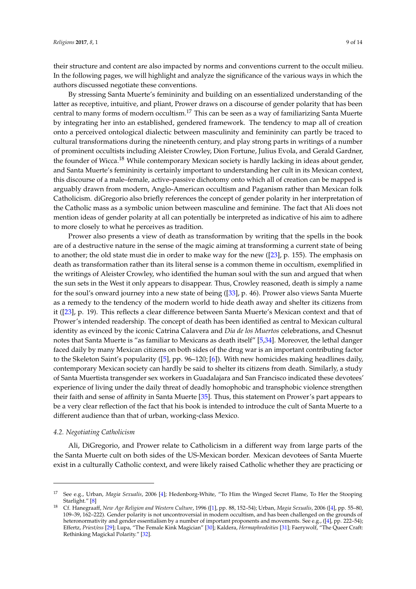their structure and content are also impacted by norms and conventions current to the occult milieu. In the following pages, we will highlight and analyze the significance of the various ways in which the authors discussed negotiate these conventions.

By stressing Santa Muerte's femininity and building on an essentialized understanding of the latter as receptive, intuitive, and pliant, Prower draws on a discourse of gender polarity that has been central to many forms of modern occultism.<sup>17</sup> This can be seen as a way of familiarizing Santa Muerte by integrating her into an established, gendered framework. The tendency to map all of creation onto a perceived ontological dialectic between masculinity and femininity can partly be traced to cultural transformations during the nineteenth century, and play strong parts in writings of a number of prominent occultists including Aleister Crowley, Dion Fortune, Julius Evola, and Gerald Gardner, the founder of Wicca.<sup>18</sup> While contemporary Mexican society is hardly lacking in ideas about gender, and Santa Muerte's femininity is certainly important to understanding her cult in its Mexican context, this discourse of a male–female, active–passive dichotomy onto which all of creation can be mapped is arguably drawn from modern, Anglo-American occultism and Paganism rather than Mexican folk Catholicism. diGregorio also briefly references the concept of gender polarity in her interpretation of the Catholic mass as a symbolic union between masculine and feminine. The fact that Ali does not mention ideas of gender polarity at all can potentially be interpreted as indicative of his aim to adhere to more closely to what he perceives as tradition.

Prower also presents a view of death as transformation by writing that the spells in the book are of a destructive nature in the sense of the magic aiming at transforming a current state of being to another; the old state must die in order to make way for the new ([\[23\]](#page-12-20), p. 155). The emphasis on death as transformation rather than its literal sense is a common theme in occultism, exemplified in the writings of Aleister Crowley, who identified the human soul with the sun and argued that when the sun sets in the West it only appears to disappear. Thus, Crowley reasoned, death is simply a name for the soul's onward journey into a new state of being ([\[33\]](#page-13-0), p. 46). Prower also views Santa Muerte as a remedy to the tendency of the modern world to hide death away and shelter its citizens from it ([\[23\]](#page-12-20), p. 19). This reflects a clear difference between Santa Muerte's Mexican context and that of Prower's intended readership. The concept of death has been identified as central to Mexican cultural identity as evinced by the iconic Catrina Calavera and *Dia de los Muertos* celebrations, and Chesnut notes that Santa Muerte is "as familiar to Mexicans as death itself" [\[5,](#page-12-0)[34\]](#page-13-1). Moreover, the lethal danger faced daily by many Mexican citizens on both sides of the drug war is an important contributing factor to the Skeleton Saint's popularity ([\[5\]](#page-12-0), pp. 96–120; [\[6\]](#page-12-1)). With new homicides making headlines daily, contemporary Mexican society can hardly be said to shelter its citizens from death. Similarly, a study of Santa Muertista transgender sex workers in Guadalajara and San Francisco indicated these devotees' experience of living under the daily threat of deadly homophobic and transphobic violence strengthen their faith and sense of affinity in Santa Muerte [\[35\]](#page-13-2). Thus, this statement on Prower's part appears to be a very clear reflection of the fact that his book is intended to introduce the cult of Santa Muerte to a different audience than that of urban, working-class Mexico.

#### *4.2. Negotiating Catholicism*

Ali, DiGregorio, and Prower relate to Catholicism in a different way from large parts of the the Santa Muerte cult on both sides of the US-Mexican border. Mexican devotees of Santa Muerte exist in a culturally Catholic context, and were likely raised Catholic whether they are practicing or

<sup>17</sup> See e.g., Urban, *Magia Sexualis*, 2006 [\[4\]](#page-12-5); Hedenborg-White, "To Him the Winged Secret Flame, To Her the Stooping Starlight." [\[8\]](#page-12-7)

<sup>18</sup> Cf. Hanegraaff, *New Age Religion and Western Culture*, 1996 ([\[1\]](#page-12-2), pp. 88, 152–54); Urban, *Magia Sexualis*, 2006 ([\[4\]](#page-12-5), pp. 55–80, 109–39, 162–222). Gender polarity is not uncontroversial in modern occultism, and has been challenged on the grounds of heteronormativity and gender essentialism by a number of important proponents and movements. See e.g., ([\[4\]](#page-12-5), pp. 222–54); Effertz, *Priest/ess* [\[29\]](#page-13-3); Lupa, "The Female Kink Magician" [\[30\]](#page-13-4); Kaldera, *Hermaphrodeities* [\[31\]](#page-13-5); Faerywolf, "The Queer Craft: Rethinking Magickal Polarity." [\[32\]](#page-13-6).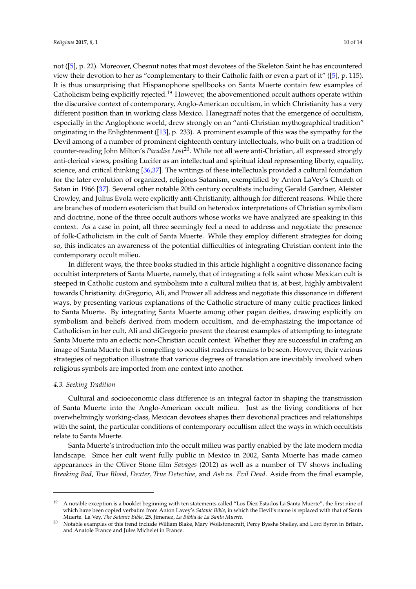not ([\[5\]](#page-12-0), p. 22). Moreover, Chesnut notes that most devotees of the Skeleton Saint he has encountered view their devotion to her as "complementary to their Catholic faith or even a part of it" ([\[5\]](#page-12-0), p. 115). It is thus unsurprising that Hispanophone spellbooks on Santa Muerte contain few examples of Catholicism being explicitly rejected.<sup>19</sup> However, the abovementioned occult authors operate within the discursive context of contemporary, Anglo-American occultism, in which Christianity has a very different position than in working class Mexico. Hanegraaff notes that the emergence of occultism, especially in the Anglophone world, drew strongly on an "anti-Christian mythographical tradition" originating in the Enlightenment ([\[13\]](#page-12-12), p. 233). A prominent example of this was the sympathy for the Devil among of a number of prominent eighteenth century intellectuals, who built on a tradition of counter-reading John Milton's *Paradise Lost*20. While not all were anti-Christian, all expressed strongly anti-clerical views, positing Lucifer as an intellectual and spiritual ideal representing liberty, equality, science, and critical thinking [\[36](#page-13-7)[,37\]](#page-13-8). The writings of these intellectuals provided a cultural foundation for the later evolution of organized, religious Satanism, exemplified by Anton LaVey's Church of Satan in 1966 [\[37\]](#page-13-8). Several other notable 20th century occultists including Gerald Gardner, Aleister Crowley, and Julius Evola were explicitly anti-Christianity, although for different reasons. While there are branches of modern esotericism that build on heterodox interpretations of Christian symbolism and doctrine, none of the three occult authors whose works we have analyzed are speaking in this context. As a case in point, all three seemingly feel a need to address and negotiate the presence of folk-Catholicism in the cult of Santa Muerte. While they employ different strategies for doing so, this indicates an awareness of the potential difficulties of integrating Christian content into the contemporary occult milieu.

In different ways, the three books studied in this article highlight a cognitive dissonance facing occultist interpreters of Santa Muerte, namely, that of integrating a folk saint whose Mexican cult is steeped in Catholic custom and symbolism into a cultural milieu that is, at best, highly ambivalent towards Christianity. diGregorio, Ali, and Prower all address and negotiate this dissonance in different ways, by presenting various explanations of the Catholic structure of many cultic practices linked to Santa Muerte. By integrating Santa Muerte among other pagan deities, drawing explicitly on symbolism and beliefs derived from modern occultism, and de-emphasizing the importance of Catholicism in her cult, Ali and diGregorio present the clearest examples of attempting to integrate Santa Muerte into an eclectic non-Christian occult context. Whether they are successful in crafting an image of Santa Muerte that is compelling to occultist readers remains to be seen. However, their various strategies of negotiation illustrate that various degrees of translation are inevitably involved when religious symbols are imported from one context into another.

#### *4.3. Seeking Tradition*

Cultural and socioeconomic class difference is an integral factor in shaping the transmission of Santa Muerte into the Anglo-American occult milieu. Just as the living conditions of her overwhelmingly working-class, Mexican devotees shapes their devotional practices and relationships with the saint, the particular conditions of contemporary occultism affect the ways in which occultists relate to Santa Muerte.

Santa Muerte's introduction into the occult milieu was partly enabled by the late modern media landscape. Since her cult went fully public in Mexico in 2002, Santa Muerte has made cameo appearances in the Oliver Stone film *Savages* (2012) as well as a number of TV shows including *Breaking Bad*, *True Blood*, *Dexter, True Detective*, and *Ash vs. Evil Dead*. Aside from the final example,

<sup>19</sup> A notable exception is a booklet beginning with ten statements called "Los Diez Estados La Santa Muerte", the first nine of which have been copied verbatim from Anton Lavey's *Satanic Bible*, in which the Devil's name is replaced with that of Santa Muerte. La Vey, *The Satanic Bible*, 25, Jimenez, *La Biblia de La Santa Muerte*.

<sup>&</sup>lt;sup>20</sup> Notable examples of this trend include William Blake, Mary Wollstonecraft, Percy Bysshe Shelley, and Lord Byron in Britain, and Anatole France and Jules Michelet in France.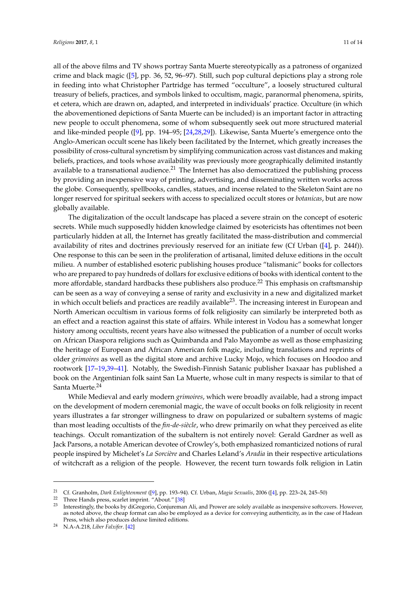all of the above films and TV shows portray Santa Muerte stereotypically as a patroness of organized crime and black magic ([\[5\]](#page-12-0), pp. 36, 52, 96–97). Still, such pop cultural depictions play a strong role in feeding into what Christopher Partridge has termed "occulture", a loosely structured cultural treasury of beliefs, practices, and symbols linked to occultism, magic, paranormal phenomena, spirits, et cetera, which are drawn on, adapted, and interpreted in individuals' practice. Occulture (in which the abovementioned depictions of Santa Muerte can be included) is an important factor in attracting new people to occult phenomena, some of whom subsequently seek out more structured material and like-minded people ([\[9\]](#page-12-8), pp. 194–95; [\[24,](#page-12-23)[28,](#page-12-25)[29\]](#page-13-3)). Likewise, Santa Muerte's emergence onto the Anglo-American occult scene has likely been facilitated by the Internet, which greatly increases the possibility of cross-cultural syncretism by simplifying communication across vast distances and making beliefs, practices, and tools whose availability was previously more geographically delimited instantly available to a transnational audience.<sup>21</sup> The Internet has also democratized the publishing process by providing an inexpensive way of printing, advertising, and disseminating written works across the globe. Consequently, spellbooks, candles, statues, and incense related to the Skeleton Saint are no longer reserved for spiritual seekers with access to specialized occult stores or *botanicas*, but are now globally available.

The digitalization of the occult landscape has placed a severe strain on the concept of esoteric secrets. While much supposedly hidden knowledge claimed by esotericists has oftentimes not been particularly hidden at all, the Internet has greatly facilitated the mass-distribution and commercial availability of rites and doctrines previously reserved for an initiate few (Cf Urban ([\[4\]](#page-12-5), p. 244f)). One response to this can be seen in the proliferation of artisanal, limited deluxe editions in the occult milieu. A number of established esoteric publishing houses produce "talismanic" books for collectors who are prepared to pay hundreds of dollars for exclusive editions of books with identical content to the more affordable, standard hardbacks these publishers also produce.<sup>22</sup> This emphasis on craftsmanship can be seen as a way of conveying a sense of rarity and exclusivity in a new and digitalized market in which occult beliefs and practices are readily available<sup>23</sup>. The increasing interest in European and North American occultism in various forms of folk religiosity can similarly be interpreted both as an effect and a reaction against this state of affairs. While interest in Vodou has a somewhat longer history among occultists, recent years have also witnessed the publication of a number of occult works on African Diaspora religions such as Quimbanda and Palo Mayombe as well as those emphasizing the heritage of European and African American folk magic, including translations and reprints of older *grimoires* as well as the digital store and archive Lucky Mojo, which focuses on Hoodoo and rootwork [\[17](#page-12-16)[–19](#page-12-18)[,39–](#page-13-9)[41\]](#page-13-10). Notably, the Swedish-Finnish Satanic publisher Ixaxaar has published a book on the Argentinian folk saint San La Muerte, whose cult in many respects is similar to that of Santa Muerte.<sup>24</sup>

While Medieval and early modern *grimoires*, which were broadly available, had a strong impact on the development of modern ceremonial magic, the wave of occult books on folk religiosity in recent years illustrates a far stronger willingness to draw on popularized or subaltern systems of magic than most leading occultists of the *fin-de-siècle*, who drew primarily on what they perceived as elite teachings. Occult romantization of the subaltern is not entirely novel: Gerald Gardner as well as Jack Parsons, a notable American devotee of Crowley's, both emphasized romanticized notions of rural people inspired by Michelet's *La Sorcière* and Charles Leland's *Aradia* in their respective articulations of witchcraft as a religion of the people. However, the recent turn towards folk religion in Latin

<sup>21</sup> Cf. Granholm, *Dark Enlightenment* ([\[9\]](#page-12-8), pp. 193–94). Cf. Urban, *Magia Sexualis*, 2006 ([\[4\]](#page-12-5), pp. 223–24, 245–50)

<sup>&</sup>lt;sup>22</sup> Three Hands press, scarlet imprint. "About." [\[38\]](#page-13-11)

<sup>23</sup> Interestingly, the books by diGregorio, Conjureman Ali, and Prower are solely available as inexpensive softcovers. However, as noted above, the cheap format can also be employed as a device for conveying authenticity, as in the case of Hadean Press, which also produces deluxe limited editions.

<sup>24</sup> N.A-A.218, *Liber Falxifer*. [\[42\]](#page-13-12)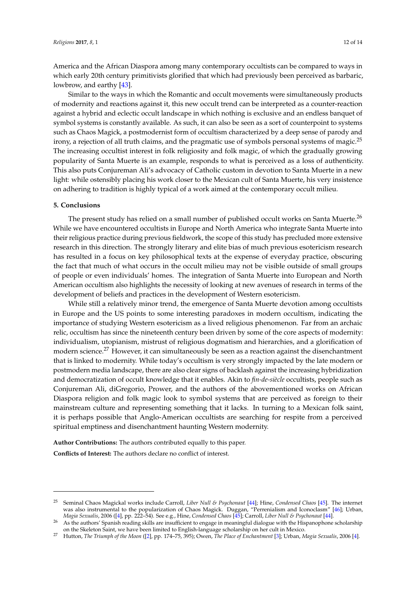America and the African Diaspora among many contemporary occultists can be compared to ways in which early 20th century primitivists glorified that which had previously been perceived as barbaric, lowbrow, and earthy [\[43\]](#page-13-13).

Similar to the ways in which the Romantic and occult movements were simultaneously products of modernity and reactions against it, this new occult trend can be interpreted as a counter-reaction against a hybrid and eclectic occult landscape in which nothing is exclusive and an endless banquet of symbol systems is constantly available. As such, it can also be seen as a sort of counterpoint to systems such as Chaos Magick, a postmodernist form of occultism characterized by a deep sense of parody and irony, a rejection of all truth claims, and the pragmatic use of symbols personal systems of magic.<sup>25</sup> The increasing occultist interest in folk religiosity and folk magic, of which the gradually growing popularity of Santa Muerte is an example, responds to what is perceived as a loss of authenticity. This also puts Conjureman Ali's advocacy of Catholic custom in devotion to Santa Muerte in a new light: while ostensibly placing his work closer to the Mexican cult of Santa Muerte, his very insistence on adhering to tradition is highly typical of a work aimed at the contemporary occult milieu.

#### **5. Conclusions**

The present study has relied on a small number of published occult works on Santa Muerte.<sup>26</sup> While we have encountered occultists in Europe and North America who integrate Santa Muerte into their religious practice during previous fieldwork, the scope of this study has precluded more extensive research in this direction. The strongly literary and elite bias of much previous esotericism research has resulted in a focus on key philosophical texts at the expense of everyday practice, obscuring the fact that much of what occurs in the occult milieu may not be visible outside of small groups of people or even individuals' homes. The integration of Santa Muerte into European and North American occultism also highlights the necessity of looking at new avenues of research in terms of the development of beliefs and practices in the development of Western esotericism.

While still a relatively minor trend, the emergence of Santa Muerte devotion among occultists in Europe and the US points to some interesting paradoxes in modern occultism, indicating the importance of studying Western esotericism as a lived religious phenomenon. Far from an archaic relic, occultism has since the nineteenth century been driven by some of the core aspects of modernity: individualism, utopianism, mistrust of religious dogmatism and hierarchies, and a glorification of modern science.<sup>27</sup> However, it can simultaneously be seen as a reaction against the disenchantment that is linked to modernity. While today's occultism is very strongly impacted by the late modern or postmodern media landscape, there are also clear signs of backlash against the increasing hybridization and democratization of occult knowledge that it enables. Akin to *fin-de-siècle* occultists, people such as Conjureman Ali, diGregorio, Prower, and the authors of the abovementioned works on African Diaspora religion and folk magic look to symbol systems that are perceived as foreign to their mainstream culture and representing something that it lacks. In turning to a Mexican folk saint, it is perhaps possible that Anglo-American occultists are searching for respite from a perceived spiritual emptiness and disenchantment haunting Western modernity.

**Author Contributions:** The authors contributed equally to this paper.

**Conflicts of Interest:** The authors declare no conflict of interest.

<sup>25</sup> Seminal Chaos Magickal works include Carroll, *Liber Null & Psychonaut* [\[44\]](#page-13-14); Hine, *Condensed Chaos* [\[45\]](#page-13-15). The internet was also instrumental to the popularization of Chaos Magick. Duggan, "Perrenialism and Iconoclasm" [\[46\]](#page-13-16); Urban, *Magia Sexualis*, 2006 ([\[4\]](#page-12-5), pp. 222–54). See e.g., Hine, *Condensed Chaos* [\[45\]](#page-13-15); Carroll, *Liber Null & Psychonaut* [\[44\]](#page-13-14).

<sup>&</sup>lt;sup>26</sup> As the authors' Spanish reading skills are insufficient to engage in meaningful dialogue with the Hispanophone scholarship on the Skeleton Saint, we have been limited to English-language scholarship on her cult in Mexico.

<sup>27</sup> Hutton, *The Triumph of the Moon* ([\[2\]](#page-12-3), pp. 174–75, 395); Owen, *The Place of Enchantment* [\[3\]](#page-12-4); Urban, *Magia Sexualis*, 2006 [\[4\]](#page-12-5).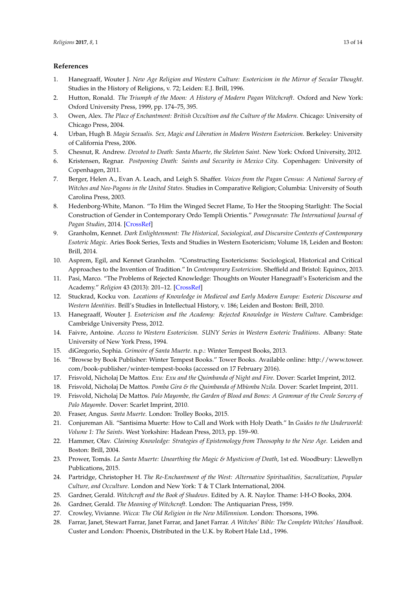## **References**

- <span id="page-12-2"></span>1. Hanegraaff, Wouter J. *New Age Religion and Western Culture: Esotericism in the Mirror of Secular Thought*. Studies in the History of Religions, v. 72; Leiden: E.J. Brill, 1996.
- <span id="page-12-3"></span>2. Hutton, Ronald. *The Triumph of the Moon: A History of Modern Pagan Witchcraft*. Oxford and New York: Oxford University Press, 1999, pp. 174–75, 395.
- <span id="page-12-4"></span>3. Owen, Alex. *The Place of Enchantment: British Occultism and the Culture of the Modern*. Chicago: University of Chicago Press, 2004.
- <span id="page-12-5"></span>4. Urban, Hugh B. *Magia Sexualis. Sex, Magic and Liberation in Modern Western Esotericism*. Berkeley: University of California Press, 2006.
- <span id="page-12-0"></span>5. Chesnut, R. Andrew. *Devoted to Death: Santa Muerte, the Skeleton Saint*. New York: Oxford University, 2012.
- <span id="page-12-1"></span>6. Kristensen, Regnar. *Postponing Death: Saints and Security in Mexico City*. Copenhagen: University of Copenhagen, 2011.
- <span id="page-12-6"></span>7. Berger, Helen A., Evan A. Leach, and Leigh S. Shaffer. *Voices from the Pagan Census: A National Survey of Witches and Neo-Pagans in the United States*. Studies in Comparative Religion; Columbia: University of South Carolina Press, 2003.
- <span id="page-12-7"></span>8. Hedenborg-White, Manon. "To Him the Winged Secret Flame, To Her the Stooping Starlight: The Social Construction of Gender in Contemporary Ordo Templi Orientis." *Pomegranate: The International Journal of Pagan Studies*, 2014. [\[CrossRef\]](http://dx.doi.org/10.1558/pome.v15i1-2.102)
- <span id="page-12-8"></span>9. Granholm, Kennet. *Dark Enlightenment: The Historical, Sociological, and Discursive Contexts of Contemporary Esoteric Magic*. Aries Book Series, Texts and Studies in Western Esotericism; Volume 18, Leiden and Boston: Brill, 2014.
- <span id="page-12-9"></span>10. Asprem, Egil, and Kennet Granholm. "Constructing Esotericisms: Sociological, Historical and Critical Approaches to the Invention of Tradition." In *Contemporary Esotericism*. Sheffield and Bristol: Equinox, 2013.
- <span id="page-12-10"></span>11. Pasi, Marco. "The Problems of Rejected Knowledge: Thoughts on Wouter Hanegraaff's Esotericism and the Academy." *Religion* 43 (2013): 201–12. [\[CrossRef\]](http://dx.doi.org/10.1080/0048721X.2013.767611)
- <span id="page-12-11"></span>12. Stuckrad, Kocku von. *Locations of Knowledge in Medieval and Early Modern Europe: Esoteric Discourse and Western Identities*. Brill's Studies in Intellectual History, v. 186; Leiden and Boston: Brill, 2010.
- <span id="page-12-12"></span>13. Hanegraaff, Wouter J. *Esotericism and the Academy: Rejected Knowledge in Western Culture*. Cambridge: Cambridge University Press, 2012.
- <span id="page-12-13"></span>14. Faivre, Antoine. *Access to Western Esotericism. SUNY Series in Western Esoteric Traditions*. Albany: State University of New York Press, 1994.
- <span id="page-12-14"></span>15. diGregorio, Sophia. *Grimoire of Santa Muerte*. n.p.: Winter Tempest Books, 2013.
- <span id="page-12-15"></span>16. "Browse by Book Publisher: Winter Tempest Books." Tower Books. Available online: [http://www.tower.](http://www.tower.com/book-publisher/winter-tempest-books) [com/book-publisher/winter-tempest-books](http://www.tower.com/book-publisher/winter-tempest-books) (accessed on 17 February 2016).
- <span id="page-12-16"></span>17. Frisvold, Nicholaj De Mattos. *Exu: Exu and the Quimbanda of Night and Fire*. Dover: Scarlet Imprint, 2012.
- <span id="page-12-17"></span>18. Frisvold, Nicholaj De Mattos. *Pomba Gira & the Quimbanda of Mbùmba Nzila*. Dover: Scarlet Imprint, 2011.
- <span id="page-12-18"></span>19. Frisvold, Nicholaj De Mattos. *Palo Mayombe, the Garden of Blood and Bones: A Grammar of the Creole Sorcery of Palo Mayombe*. Dover: Scarlet Imprint, 2010.
- <span id="page-12-21"></span>20. Fraser, Angus. *Santa Muerte*. London: Trolley Books, 2015.
- <span id="page-12-19"></span>21. Conjureman Ali. "Santisima Muerte: How to Call and Work with Holy Death." In *Guides to the Underworld: Volume 1: The Saints*. West Yorkshire: Hadean Press, 2013, pp. 159–90.
- <span id="page-12-22"></span>22. Hammer, Olav. *Claiming Knowledge: Strategies of Epistemology from Theosophy to the New Age*. Leiden and Boston: Brill, 2004.
- <span id="page-12-20"></span>23. Prower, Tomás. *La Santa Muerte: Unearthing the Magic & Mysticism of Death*, 1st ed. Woodbury: Llewellyn Publications, 2015.
- <span id="page-12-23"></span>24. Partridge, Christopher H. *The Re-Enchantment of the West: Alternative Spiritualities, Sacralization, Popular Culture, and Occulture*. London and New York: T & T Clark International, 2004.
- <span id="page-12-24"></span>25. Gardner, Gerald. *Witchcraft and the Book of Shadows*. Edited by A. R. Naylor. Thame: I-H-O Books, 2004.
- 26. Gardner, Gerald. *The Meaning of Witchcraft*. London: The Antiquarian Press, 1959.
- 27. Crowley, Vivianne. *Wicca: The Old Religion in the New Millennium*. London: Thorsons, 1996.
- <span id="page-12-25"></span>28. Farrar, Janet, Stewart Farrar, Janet Farrar, and Janet Farrar. *A Witches' Bible: The Complete Witches' Handbook*. Custer and London: Phoenix, Distributed in the U.K. by Robert Hale Ltd., 1996.